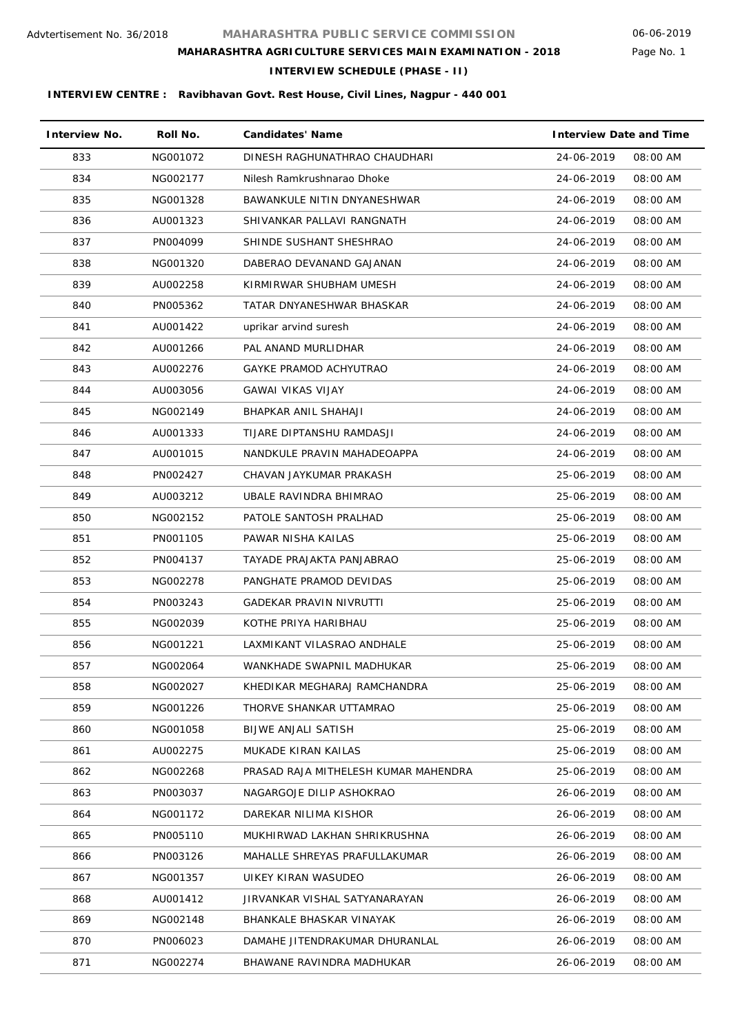# Page No. 1

**INTERVIEW SCHEDULE (PHASE - II)**

| <b>Interview No.</b> | Roll No. | <b>Candidates' Name</b>              | <b>Interview Date and Time</b> |          |
|----------------------|----------|--------------------------------------|--------------------------------|----------|
| 833                  | NG001072 | DINESH RAGHUNATHRAO CHAUDHARI        | 24-06-2019                     | 08:00 AM |
| 834                  | NG002177 | Nilesh Ramkrushnarao Dhoke           | 24-06-2019                     | 08:00 AM |
| 835                  | NG001328 | BAWANKULE NITIN DNYANESHWAR          | 24-06-2019                     | 08:00 AM |
| 836                  | AU001323 | SHIVANKAR PALLAVI RANGNATH           | 24-06-2019                     | 08:00 AM |
| 837                  | PN004099 | SHINDE SUSHANT SHESHRAO              | 24-06-2019                     | 08:00 AM |
| 838                  | NG001320 | DABERAO DEVANAND GAJANAN             | 24-06-2019                     | 08:00 AM |
| 839                  | AU002258 | KIRMIRWAR SHUBHAM UMESH              | 24-06-2019                     | 08:00 AM |
| 840                  | PN005362 | TATAR DNYANESHWAR BHASKAR            | 24-06-2019                     | 08:00 AM |
| 841                  | AU001422 | uprikar arvind suresh                | 24-06-2019                     | 08:00 AM |
| 842                  | AU001266 | PAL ANAND MURLIDHAR                  | 24-06-2019                     | 08:00 AM |
| 843                  | AU002276 | GAYKE PRAMOD ACHYUTRAO               | 24-06-2019                     | 08:00 AM |
| 844                  | AU003056 | GAWAI VIKAS VIJAY                    | 24-06-2019                     | 08:00 AM |
| 845                  | NG002149 | BHAPKAR ANIL SHAHAJI                 | 24-06-2019                     | 08:00 AM |
| 846                  | AU001333 | TIJARE DIPTANSHU RAMDASJI            | 24-06-2019                     | 08:00 AM |
| 847                  | AU001015 | NANDKULE PRAVIN MAHADEOAPPA          | 24-06-2019                     | 08:00 AM |
| 848                  | PN002427 | CHAVAN JAYKUMAR PRAKASH              | 25-06-2019                     | 08:00 AM |
| 849                  | AU003212 | UBALE RAVINDRA BHIMRAO               | 25-06-2019                     | 08:00 AM |
| 850                  | NG002152 | PATOLE SANTOSH PRALHAD               | 25-06-2019                     | 08:00 AM |
| 851                  | PN001105 | PAWAR NISHA KAILAS                   | 25-06-2019                     | 08:00 AM |
| 852                  | PN004137 | TAYADE PRAJAKTA PANJABRAO            | 25-06-2019                     | 08:00 AM |
| 853                  | NG002278 | PANGHATE PRAMOD DEVIDAS              | 25-06-2019                     | 08:00 AM |
| 854                  | PN003243 | <b>GADEKAR PRAVIN NIVRUTTI</b>       | 25-06-2019                     | 08:00 AM |
| 855                  | NG002039 | KOTHE PRIYA HARIBHAU                 | 25-06-2019                     | 08:00 AM |
| 856                  | NG001221 | LAXMIKANT VILASRAO ANDHALE           | 25-06-2019                     | 08:00 AM |
| 857                  | NG002064 | WANKHADE SWAPNIL MADHUKAR            | 25-06-2019                     | 08:00 AM |
| 858                  | NG002027 | KHEDIKAR MEGHARAJ RAMCHANDRA         | 25-06-2019                     | 08:00 AM |
| 859                  | NG001226 | THORVE SHANKAR UTTAMRAO              | 25-06-2019                     | 08:00 AM |
| 860                  | NG001058 | BIJWE ANJALI SATISH                  | 25-06-2019                     | 08:00 AM |
| 861                  | AU002275 | MUKADE KIRAN KAILAS                  | 25-06-2019                     | 08:00 AM |
| 862                  | NG002268 | PRASAD RAJA MITHELESH KUMAR MAHENDRA | 25-06-2019                     | 08:00 AM |
| 863                  | PN003037 | NAGARGOJE DILIP ASHOKRAO             | 26-06-2019                     | 08:00 AM |
| 864                  | NG001172 | DAREKAR NILIMA KISHOR                | 26-06-2019                     | 08:00 AM |
| 865                  | PN005110 | MUKHIRWAD LAKHAN SHRIKRUSHNA         | 26-06-2019                     | 08:00 AM |
| 866                  | PN003126 | MAHALLE SHREYAS PRAFULLAKUMAR        | 26-06-2019                     | 08:00 AM |
| 867                  | NG001357 | UIKEY KIRAN WASUDEO                  | 26-06-2019                     | 08:00 AM |
| 868                  | AU001412 | JIRVANKAR VISHAL SATYANARAYAN        | 26-06-2019                     | 08:00 AM |
| 869                  | NG002148 | BHANKALE BHASKAR VINAYAK             | 26-06-2019                     | 08:00 AM |
| 870                  | PN006023 | DAMAHE JITENDRAKUMAR DHURANLAL       | 26-06-2019                     | 08:00 AM |
| 871                  | NG002274 | BHAWANE RAVINDRA MADHUKAR            | 26-06-2019                     | 08:00 AM |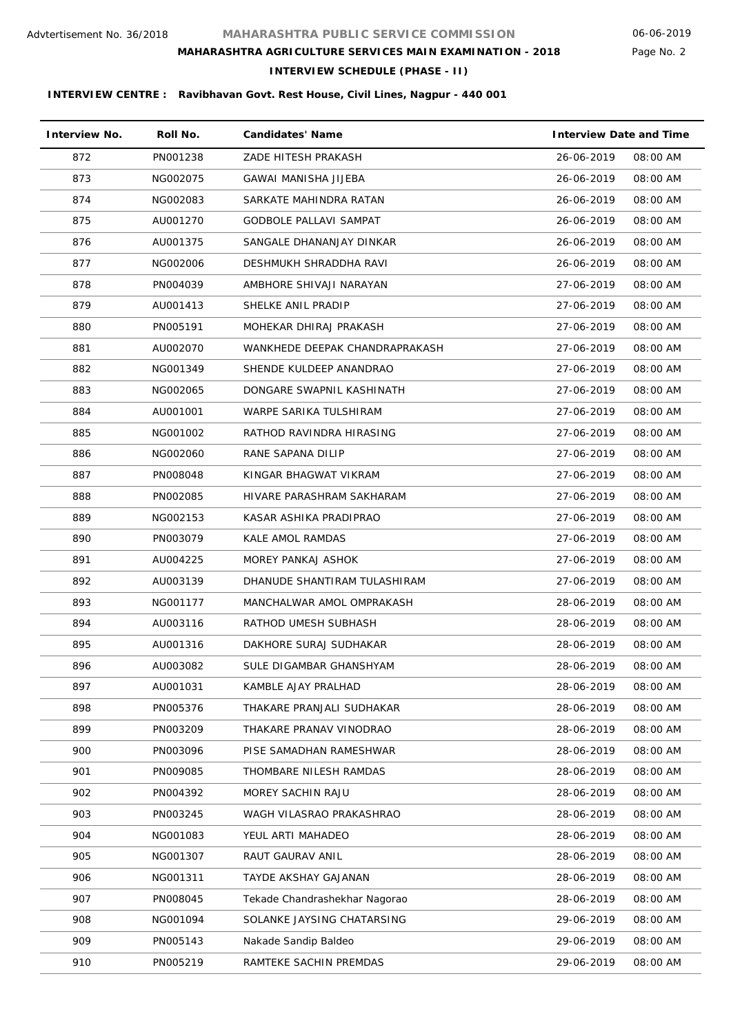Page No. 2

### **MAHARASHTRA AGRICULTURE SERVICES MAIN EXAMINATION - 2018**

**INTERVIEW SCHEDULE (PHASE - II)**

| <b>Interview No.</b> | Roll No. | <b>Candidates' Name</b>        | <b>Interview Date and Time</b> |          |
|----------------------|----------|--------------------------------|--------------------------------|----------|
| 872                  | PN001238 | ZADE HITESH PRAKASH            | 26-06-2019                     | 08:00 AM |
| 873                  | NG002075 | GAWAI MANISHA JIJEBA           | 26-06-2019                     | 08:00 AM |
| 874                  | NG002083 | SARKATE MAHINDRA RATAN         | 26-06-2019                     | 08:00 AM |
| 875                  | AU001270 | <b>GODBOLE PALLAVI SAMPAT</b>  | 26-06-2019                     | 08:00 AM |
| 876                  | AU001375 | SANGALE DHANANJAY DINKAR       | 26-06-2019                     | 08:00 AM |
| 877                  | NG002006 | DESHMUKH SHRADDHA RAVI         | 26-06-2019                     | 08:00 AM |
| 878                  | PN004039 | AMBHORE SHIVAJI NARAYAN        | 27-06-2019                     | 08:00 AM |
| 879                  | AU001413 | SHELKE ANIL PRADIP             | 27-06-2019                     | 08:00 AM |
| 880                  | PN005191 | MOHEKAR DHIRAJ PRAKASH         | 27-06-2019                     | 08:00 AM |
| 881                  | AU002070 | WANKHEDE DEEPAK CHANDRAPRAKASH | 27-06-2019                     | 08:00 AM |
| 882                  | NG001349 | SHENDE KULDEEP ANANDRAO        | 27-06-2019                     | 08:00 AM |
| 883                  | NG002065 | DONGARE SWAPNIL KASHINATH      | 27-06-2019                     | 08:00 AM |
| 884                  | AU001001 | WARPE SARIKA TULSHIRAM         | 27-06-2019                     | 08:00 AM |
| 885                  | NG001002 | RATHOD RAVINDRA HIRASING       | 27-06-2019                     | 08:00 AM |
| 886                  | NG002060 | RANE SAPANA DILIP              | 27-06-2019                     | 08:00 AM |
| 887                  | PN008048 | KINGAR BHAGWAT VIKRAM          | 27-06-2019                     | 08:00 AM |
| 888                  | PN002085 | HIVARE PARASHRAM SAKHARAM      | 27-06-2019                     | 08:00 AM |
| 889                  | NG002153 | KASAR ASHIKA PRADIPRAO         | 27-06-2019                     | 08:00 AM |
| 890                  | PN003079 | KALE AMOL RAMDAS               | 27-06-2019                     | 08:00 AM |
| 891                  | AU004225 | MOREY PANKAJ ASHOK             | 27-06-2019                     | 08:00 AM |
| 892                  | AU003139 | DHANUDE SHANTIRAM TULASHIRAM   | 27-06-2019                     | 08:00 AM |
| 893                  | NG001177 | MANCHALWAR AMOL OMPRAKASH      | 28-06-2019                     | 08:00 AM |
| 894                  | AU003116 | RATHOD UMESH SUBHASH           | 28-06-2019                     | 08:00 AM |
| 895                  | AU001316 | DAKHORE SURAJ SUDHAKAR         | 28-06-2019                     | 08:00 AM |
| 896                  | AU003082 | SULE DIGAMBAR GHANSHYAM        | 28-06-2019                     | 08:00 AM |
| 897                  | AU001031 | KAMBLE AJAY PRALHAD            | 28-06-2019                     | 08:00 AM |
| 898                  | PN005376 | THAKARE PRANJALI SUDHAKAR      | 28-06-2019                     | 08:00 AM |
| 899                  | PN003209 | THAKARE PRANAV VINODRAO        | 28-06-2019                     | 08:00 AM |
| 900                  | PN003096 | PISE SAMADHAN RAMESHWAR        | 28-06-2019                     | 08:00 AM |
| 901                  | PN009085 | THOMBARE NILESH RAMDAS         | 28-06-2019                     | 08:00 AM |
| 902                  | PN004392 | MOREY SACHIN RAJU              | 28-06-2019                     | 08:00 AM |
| 903                  | PN003245 | WAGH VILASRAO PRAKASHRAO       | 28-06-2019                     | 08:00 AM |
| 904                  | NG001083 | YEUL ARTI MAHADEO              | 28-06-2019                     | 08:00 AM |
| 905                  | NG001307 | RAUT GAURAV ANIL               | 28-06-2019                     | 08:00 AM |
| 906                  | NG001311 | TAYDE AKSHAY GAJANAN           | 28-06-2019                     | 08:00 AM |
| 907                  | PN008045 | Tekade Chandrashekhar Nagorao  | 28-06-2019                     | 08:00 AM |
| 908                  | NG001094 | SOLANKE JAYSING CHATARSING     | 29-06-2019                     | 08:00 AM |
| 909                  | PN005143 | Nakade Sandip Baldeo           | 29-06-2019                     | 08:00 AM |
| 910                  | PN005219 | RAMTEKE SACHIN PREMDAS         | 29-06-2019                     | 08:00 AM |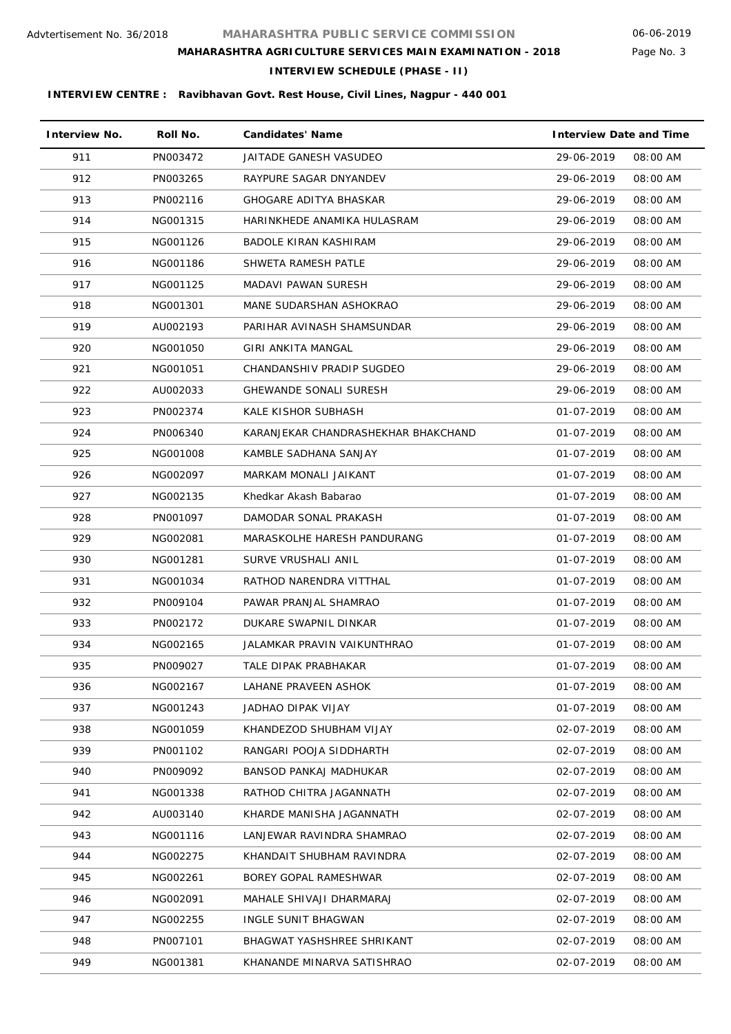# Page No. 3

**INTERVIEW SCHEDULE (PHASE - II)**

| <b>Interview No.</b> | Roll No. | <b>Candidates' Name</b>             | <b>Interview Date and Time</b> |          |
|----------------------|----------|-------------------------------------|--------------------------------|----------|
| 911                  | PN003472 | JAITADE GANESH VASUDEO              | 29-06-2019                     | 08:00 AM |
| 912                  | PN003265 | RAYPURE SAGAR DNYANDEV              | 29-06-2019                     | 08:00 AM |
| 913                  | PN002116 | GHOGARE ADITYA BHASKAR              | 29-06-2019                     | 08:00 AM |
| 914                  | NG001315 | HARINKHEDE ANAMIKA HULASRAM         | 29-06-2019                     | 08:00 AM |
| 915                  | NG001126 | BADOLE KIRAN KASHIRAM               | 29-06-2019                     | 08:00 AM |
| 916                  | NG001186 | SHWETA RAMESH PATLE                 | 29-06-2019                     | 08:00 AM |
| 917                  | NG001125 | MADAVI PAWAN SURESH                 | 29-06-2019                     | 08:00 AM |
| 918                  | NG001301 | MANE SUDARSHAN ASHOKRAO             | 29-06-2019                     | 08:00 AM |
| 919                  | AU002193 | PARIHAR AVINASH SHAMSUNDAR          | 29-06-2019                     | 08:00 AM |
| 920                  | NG001050 | GIRI ANKITA MANGAL                  | 29-06-2019                     | 08:00 AM |
| 921                  | NG001051 | CHANDANSHIV PRADIP SUGDEO           | 29-06-2019                     | 08:00 AM |
| 922                  | AU002033 | <b>GHEWANDE SONALI SURESH</b>       | 29-06-2019                     | 08:00 AM |
| 923                  | PN002374 | KALE KISHOR SUBHASH                 | 01-07-2019                     | 08:00 AM |
| 924                  | PN006340 | KARANJEKAR CHANDRASHEKHAR BHAKCHAND | 01-07-2019                     | 08:00 AM |
| 925                  | NG001008 | KAMBLE SADHANA SANJAY               | 01-07-2019                     | 08:00 AM |
| 926                  | NG002097 | MARKAM MONALI JAIKANT               | 01-07-2019                     | 08:00 AM |
| 927                  | NG002135 | Khedkar Akash Babarao               | 01-07-2019                     | 08:00 AM |
| 928                  | PN001097 | DAMODAR SONAL PRAKASH               | 01-07-2019                     | 08:00 AM |
| 929                  | NG002081 | MARASKOLHE HARESH PANDURANG         | 01-07-2019                     | 08:00 AM |
| 930                  | NG001281 | SURVE VRUSHALI ANIL                 | 01-07-2019                     | 08:00 AM |
| 931                  | NG001034 | RATHOD NARENDRA VITTHAL             | 01-07-2019                     | 08:00 AM |
| 932                  | PN009104 | PAWAR PRANJAL SHAMRAO               | 01-07-2019                     | 08:00 AM |
| 933                  | PN002172 | DUKARE SWAPNIL DINKAR               | 01-07-2019                     | 08:00 AM |
| 934                  | NG002165 | JALAMKAR PRAVIN VAIKUNTHRAO         | 01-07-2019                     | 08:00 AM |
| 935                  | PN009027 | TALE DIPAK PRABHAKAR                | 01-07-2019                     | 08:00 AM |
| 936                  | NG002167 | LAHANE PRAVEEN ASHOK                | 01-07-2019                     | 08:00 AM |
| 937                  | NG001243 | JADHAO DIPAK VIJAY                  | 01-07-2019                     | 08:00 AM |
| 938                  | NG001059 | KHANDEZOD SHUBHAM VIJAY             | 02-07-2019                     | 08:00 AM |
| 939                  | PN001102 | RANGARI POOJA SIDDHARTH             | 02-07-2019                     | 08:00 AM |
| 940                  | PN009092 | BANSOD PANKAJ MADHUKAR              | 02-07-2019                     | 08:00 AM |
| 941                  | NG001338 | RATHOD CHITRA JAGANNATH             | 02-07-2019                     | 08:00 AM |
| 942                  | AU003140 | KHARDE MANISHA JAGANNATH            | 02-07-2019                     | 08:00 AM |
| 943                  | NG001116 | LANJEWAR RAVINDRA SHAMRAO           | 02-07-2019                     | 08:00 AM |
| 944                  | NG002275 | KHANDAIT SHUBHAM RAVINDRA           | 02-07-2019                     | 08:00 AM |
| 945                  | NG002261 | BOREY GOPAL RAMESHWAR               | 02-07-2019                     | 08:00 AM |
| 946                  | NG002091 | MAHALE SHIVAJI DHARMARAJ            | 02-07-2019                     | 08:00 AM |
| 947                  | NG002255 | INGLE SUNIT BHAGWAN                 | 02-07-2019                     | 08:00 AM |
| 948                  | PN007101 | BHAGWAT YASHSHREE SHRIKANT          | 02-07-2019                     | 08:00 AM |
| 949                  | NG001381 | KHANANDE MINARVA SATISHRAO          | 02-07-2019                     | 08:00 AM |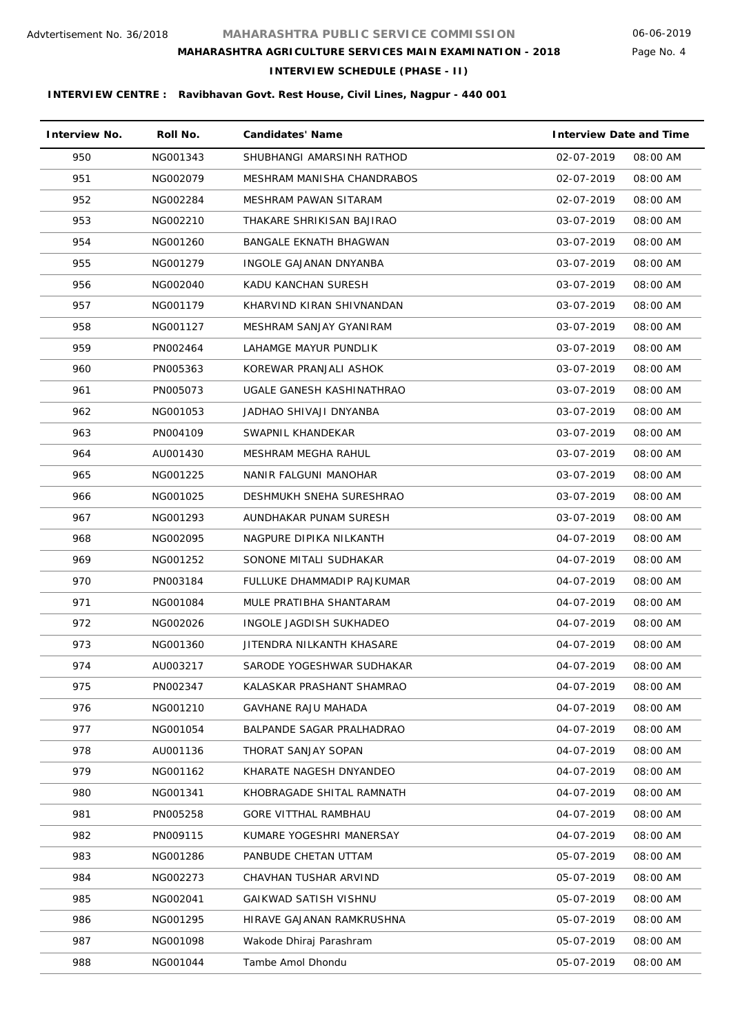# Page No. 4

**INTERVIEW SCHEDULE (PHASE - II)**

| <b>Interview No.</b> | Roll No. | <b>Candidates' Name</b>     | <b>Interview Date and Time</b> |
|----------------------|----------|-----------------------------|--------------------------------|
| 950                  | NG001343 | SHUBHANGI AMARSINH RATHOD   | 02-07-2019<br>08:00 AM         |
| 951                  | NG002079 | MESHRAM MANISHA CHANDRABOS  | 02-07-2019<br>08:00 AM         |
| 952                  | NG002284 | MESHRAM PAWAN SITARAM       | 02-07-2019<br>08:00 AM         |
| 953                  | NG002210 | THAKARE SHRIKISAN BAJIRAO   | 03-07-2019<br>08:00 AM         |
| 954                  | NG001260 | BANGALE EKNATH BHAGWAN      | 03-07-2019<br>08:00 AM         |
| 955                  | NG001279 | INGOLE GAJANAN DNYANBA      | 03-07-2019<br>08:00 AM         |
| 956                  | NG002040 | KADU KANCHAN SURESH         | 03-07-2019<br>08:00 AM         |
| 957                  | NG001179 | KHARVIND KIRAN SHIVNANDAN   | 03-07-2019<br>08:00 AM         |
| 958                  | NG001127 | MESHRAM SANJAY GYANIRAM     | 03-07-2019<br>08:00 AM         |
| 959                  | PN002464 | LAHAMGE MAYUR PUNDLIK       | 03-07-2019<br>08:00 AM         |
| 960                  | PN005363 | KOREWAR PRANJALI ASHOK      | 03-07-2019<br>08:00 AM         |
| 961                  | PN005073 | UGALE GANESH KASHINATHRAO   | 03-07-2019<br>08:00 AM         |
| 962                  | NG001053 | JADHAO SHIVAJI DNYANBA      | 03-07-2019<br>08:00 AM         |
| 963                  | PN004109 | SWAPNIL KHANDEKAR           | 03-07-2019<br>08:00 AM         |
| 964                  | AU001430 | MESHRAM MEGHA RAHUL         | 03-07-2019<br>08:00 AM         |
| 965                  | NG001225 | NANIR FALGUNI MANOHAR       | 03-07-2019<br>08:00 AM         |
| 966                  | NG001025 | DESHMUKH SNEHA SURESHRAO    | 03-07-2019<br>08:00 AM         |
| 967                  | NG001293 | AUNDHAKAR PUNAM SURESH      | 03-07-2019<br>08:00 AM         |
| 968                  | NG002095 | NAGPURE DIPIKA NILKANTH     | 04-07-2019<br>08:00 AM         |
| 969                  | NG001252 | SONONE MITALI SUDHAKAR      | 04-07-2019<br>08:00 AM         |
| 970                  | PN003184 | FULLUKE DHAMMADIP RAJKUMAR  | 04-07-2019<br>08:00 AM         |
| 971                  | NG001084 | MULE PRATIBHA SHANTARAM     | 04-07-2019<br>08:00 AM         |
| 972                  | NG002026 | INGOLE JAGDISH SUKHADEO     | 08:00 AM<br>04-07-2019         |
| 973                  | NG001360 | JITENDRA NILKANTH KHASARE   | 04-07-2019<br>08:00 AM         |
| 974                  | AU003217 | SARODE YOGESHWAR SUDHAKAR   | 04-07-2019<br>08:00 AM         |
| 975                  | PN002347 | KALASKAR PRASHANT SHAMRAO   | 04-07-2019<br>08:00 AM         |
| 976                  | NG001210 | <b>GAVHANE RAJU MAHADA</b>  | 04-07-2019<br>08:00 AM         |
| 977                  | NG001054 | BALPANDE SAGAR PRALHADRAO   | 04-07-2019<br>08:00 AM         |
| 978                  | AU001136 | THORAT SANJAY SOPAN         | 04-07-2019<br>08:00 AM         |
| 979                  | NG001162 | KHARATE NAGESH DNYANDEO     | 04-07-2019<br>08:00 AM         |
| 980                  | NG001341 | KHOBRAGADE SHITAL RAMNATH   | 04-07-2019<br>08:00 AM         |
| 981                  | PN005258 | <b>GORE VITTHAL RAMBHAU</b> | 04-07-2019<br>08:00 AM         |
| 982                  | PN009115 | KUMARE YOGESHRI MANERSAY    | 04-07-2019<br>08:00 AM         |
| 983                  | NG001286 | PANBUDE CHETAN UTTAM        | 05-07-2019<br>08:00 AM         |
| 984                  | NG002273 | CHAVHAN TUSHAR ARVIND       | 05-07-2019<br>08:00 AM         |
| 985                  | NG002041 | GAIKWAD SATISH VISHNU       | 05-07-2019<br>08:00 AM         |
| 986                  | NG001295 | HIRAVE GAJANAN RAMKRUSHNA   | 05-07-2019<br>08:00 AM         |
| 987                  | NG001098 | Wakode Dhiraj Parashram     | 05-07-2019<br>08:00 AM         |
| 988                  | NG001044 | Tambe Amol Dhondu           | 05-07-2019<br>08:00 AM         |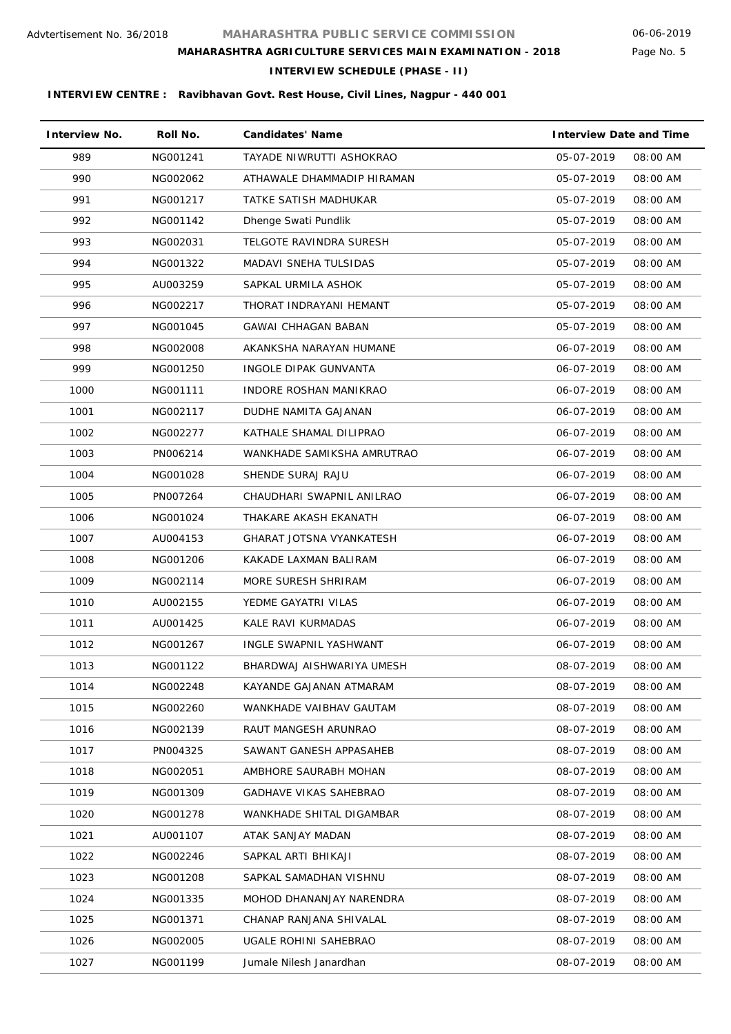Page No. 5

### **INTERVIEW SCHEDULE (PHASE - II)**

| <b>Interview No.</b> | Roll No. | <b>Candidates' Name</b>         | <b>Interview Date and Time</b> |
|----------------------|----------|---------------------------------|--------------------------------|
| 989                  | NG001241 | TAYADE NIWRUTTI ASHOKRAO        | 05-07-2019<br>08:00 AM         |
| 990                  | NG002062 | ATHAWALE DHAMMADIP HIRAMAN      | 05-07-2019<br>08:00 AM         |
| 991                  | NG001217 | TATKE SATISH MADHUKAR           | 05-07-2019<br>08:00 AM         |
| 992                  | NG001142 | Dhenge Swati Pundlik            | 05-07-2019<br>08:00 AM         |
| 993                  | NG002031 | TELGOTE RAVINDRA SURESH         | 05-07-2019<br>08:00 AM         |
| 994                  | NG001322 | MADAVI SNEHA TULSIDAS           | 05-07-2019<br>08:00 AM         |
| 995                  | AU003259 | SAPKAL URMILA ASHOK             | 05-07-2019<br>08:00 AM         |
| 996                  | NG002217 | THORAT INDRAYANI HEMANT         | 05-07-2019<br>08:00 AM         |
| 997                  | NG001045 | <b>GAWAI CHHAGAN BABAN</b>      | 05-07-2019<br>08:00 AM         |
| 998                  | NG002008 | AKANKSHA NARAYAN HUMANE         | 08:00 AM<br>06-07-2019         |
| 999                  | NG001250 | INGOLE DIPAK GUNVANTA           | 06-07-2019<br>08:00 AM         |
| 1000                 | NG001111 | <b>INDORE ROSHAN MANIKRAO</b>   | 06-07-2019<br>08:00 AM         |
| 1001                 | NG002117 | DUDHE NAMITA GAJANAN            | 06-07-2019<br>08:00 AM         |
| 1002                 | NG002277 | KATHALE SHAMAL DILIPRAO         | 06-07-2019<br>08:00 AM         |
| 1003                 | PN006214 | WANKHADE SAMIKSHA AMRUTRAO      | 06-07-2019<br>08:00 AM         |
| 1004                 | NG001028 | SHENDE SURAJ RAJU               | 06-07-2019<br>08:00 AM         |
| 1005                 | PN007264 | CHAUDHARI SWAPNIL ANILRAO       | 06-07-2019<br>08:00 AM         |
| 1006                 | NG001024 | THAKARE AKASH EKANATH           | 06-07-2019<br>08:00 AM         |
| 1007                 | AU004153 | <b>GHARAT JOTSNA VYANKATESH</b> | 06-07-2019<br>08:00 AM         |
| 1008                 | NG001206 | KAKADE LAXMAN BALIRAM           | 06-07-2019<br>08:00 AM         |
| 1009                 | NG002114 | MORE SURESH SHRIRAM             | 06-07-2019<br>08:00 AM         |
| 1010                 | AU002155 | YEDME GAYATRI VILAS             | 06-07-2019<br>08:00 AM         |
| 1011                 | AU001425 | <b>KALE RAVI KURMADAS</b>       | 06-07-2019<br>08:00 AM         |
| 1012                 | NG001267 | INGLE SWAPNIL YASHWANT          | 08:00 AM<br>06-07-2019         |
| 1013                 | NG001122 | BHARDWAJ AISHWARIYA UMESH       | 08-07-2019<br>08:00 AM         |
| 1014                 | NG002248 | KAYANDE GAJANAN ATMARAM         | 08-07-2019<br>08:00 AM         |
| 1015                 | NG002260 | WANKHADE VAIBHAV GAUTAM         | 08-07-2019<br>08:00 AM         |
| 1016                 | NG002139 | RAUT MANGESH ARUNRAO            | 08-07-2019<br>08:00 AM         |
| 1017                 | PN004325 | SAWANT GANESH APPASAHEB         | 08-07-2019<br>08:00 AM         |
| 1018                 | NG002051 | AMBHORE SAURABH MOHAN           | 08-07-2019<br>08:00 AM         |
| 1019                 | NG001309 | <b>GADHAVE VIKAS SAHEBRAO</b>   | 08-07-2019<br>08:00 AM         |
| 1020                 | NG001278 | WANKHADE SHITAL DIGAMBAR        | 08-07-2019<br>08:00 AM         |
| 1021                 | AU001107 | ATAK SANJAY MADAN               | 08-07-2019<br>08:00 AM         |
| 1022                 | NG002246 | SAPKAL ARTI BHIKAJI             | 08-07-2019<br>08:00 AM         |
| 1023                 | NG001208 | SAPKAL SAMADHAN VISHNU          | 08-07-2019<br>08:00 AM         |
| 1024                 | NG001335 | MOHOD DHANANJAY NARENDRA        | 08-07-2019<br>08:00 AM         |
| 1025                 | NG001371 | CHANAP RANJANA SHIVALAL         | 08-07-2019<br>08:00 AM         |
| 1026                 | NG002005 | UGALE ROHINI SAHEBRAO           | 08-07-2019<br>08:00 AM         |
| 1027                 | NG001199 | Jumale Nilesh Janardhan         | 08-07-2019<br>08:00 AM         |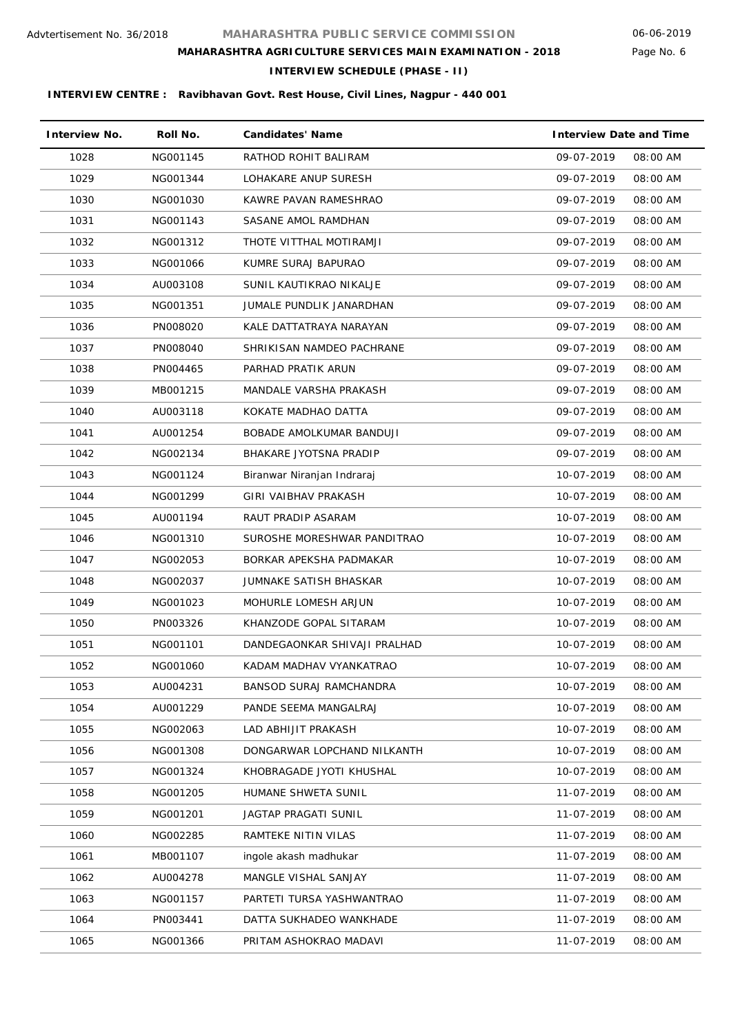### Page No. 6

**INTERVIEW SCHEDULE (PHASE - II)**

| <b>Interview No.</b> | Roll No. | <b>Candidates' Name</b>        | <b>Interview Date and Time</b> |          |
|----------------------|----------|--------------------------------|--------------------------------|----------|
| 1028                 | NG001145 | RATHOD ROHIT BALIRAM           | 09-07-2019                     | 08:00 AM |
| 1029                 | NG001344 | LOHAKARE ANUP SURESH           | 09-07-2019                     | 08:00 AM |
| 1030                 | NG001030 | KAWRE PAVAN RAMESHRAO          | 09-07-2019                     | 08:00 AM |
| 1031                 | NG001143 | SASANE AMOL RAMDHAN            | 09-07-2019                     | 08:00 AM |
| 1032                 | NG001312 | THOTE VITTHAL MOTIRAMJI        | 09-07-2019                     | 08:00 AM |
| 1033                 | NG001066 | KUMRE SURAJ BAPURAO            | 09-07-2019                     | 08:00 AM |
| 1034                 | AU003108 | SUNIL KAUTIKRAO NIKALJE        | 09-07-2019                     | 08:00 AM |
| 1035                 | NG001351 | JUMALE PUNDLIK JANARDHAN       | 09-07-2019                     | 08:00 AM |
| 1036                 | PN008020 | KALE DATTATRAYA NARAYAN        | 09-07-2019                     | 08:00 AM |
| 1037                 | PN008040 | SHRIKISAN NAMDEO PACHRANE      | 09-07-2019                     | 08:00 AM |
| 1038                 | PN004465 | PARHAD PRATIK ARUN             | 09-07-2019                     | 08:00 AM |
| 1039                 | MB001215 | MANDALE VARSHA PRAKASH         | 09-07-2019                     | 08:00 AM |
| 1040                 | AU003118 | KOKATE MADHAO DATTA            | 09-07-2019                     | 08:00 AM |
| 1041                 | AU001254 | BOBADE AMOLKUMAR BANDUJI       | 09-07-2019                     | 08:00 AM |
| 1042                 | NG002134 | BHAKARE JYOTSNA PRADIP         | 09-07-2019                     | 08:00 AM |
| 1043                 | NG001124 | Biranwar Niranjan Indraraj     | 10-07-2019                     | 08:00 AM |
| 1044                 | NG001299 | GIRI VAIBHAV PRAKASH           | 10-07-2019                     | 08:00 AM |
| 1045                 | AU001194 | RAUT PRADIP ASARAM             | 10-07-2019                     | 08:00 AM |
| 1046                 | NG001310 | SUROSHE MORESHWAR PANDITRAO    | 10-07-2019                     | 08:00 AM |
| 1047                 | NG002053 | BORKAR APEKSHA PADMAKAR        | 10-07-2019                     | 08:00 AM |
| 1048                 | NG002037 | JUMNAKE SATISH BHASKAR         | 10-07-2019                     | 08:00 AM |
| 1049                 | NG001023 | <b>MOHURLE LOMESH ARJUN</b>    | 10-07-2019                     | 08:00 AM |
| 1050                 | PN003326 | KHANZODE GOPAL SITARAM         | 10-07-2019                     | 08:00 AM |
| 1051                 | NG001101 | DANDEGAONKAR SHIVAJI PRALHAD   | 10-07-2019                     | 08:00 AM |
| 1052                 | NG001060 | KADAM MADHAV VYANKATRAO        | 10-07-2019                     | 08:00 AM |
| 1053                 | AU004231 | <b>BANSOD SURAJ RAMCHANDRA</b> | 10-07-2019                     | 08:00 AM |
| 1054                 | AU001229 | PANDE SEEMA MANGALRAJ          | 10-07-2019                     | 08:00 AM |
| 1055                 | NG002063 | LAD ABHIJIT PRAKASH            | 10-07-2019                     | 08:00 AM |
| 1056                 | NG001308 | DONGARWAR LOPCHAND NILKANTH    | 10-07-2019                     | 08:00 AM |
| 1057                 | NG001324 | KHOBRAGADE JYOTI KHUSHAL       | 10-07-2019                     | 08:00 AM |
| 1058                 | NG001205 | HUMANE SHWETA SUNIL            | 11-07-2019                     | 08:00 AM |
| 1059                 | NG001201 | JAGTAP PRAGATI SUNIL           | 11-07-2019                     | 08:00 AM |
| 1060                 | NG002285 | RAMTEKE NITIN VILAS            | 11-07-2019                     | 08:00 AM |
| 1061                 | MB001107 | ingole akash madhukar          | 11-07-2019                     | 08:00 AM |
| 1062                 | AU004278 | MANGLE VISHAL SANJAY           | 11-07-2019                     | 08:00 AM |
| 1063                 | NG001157 | PARTETI TURSA YASHWANTRAO      | 11-07-2019                     | 08:00 AM |
| 1064                 | PN003441 | DATTA SUKHADEO WANKHADE        | 11-07-2019                     | 08:00 AM |
| 1065                 | NG001366 | PRITAM ASHOKRAO MADAVI         | 11-07-2019                     | 08:00 AM |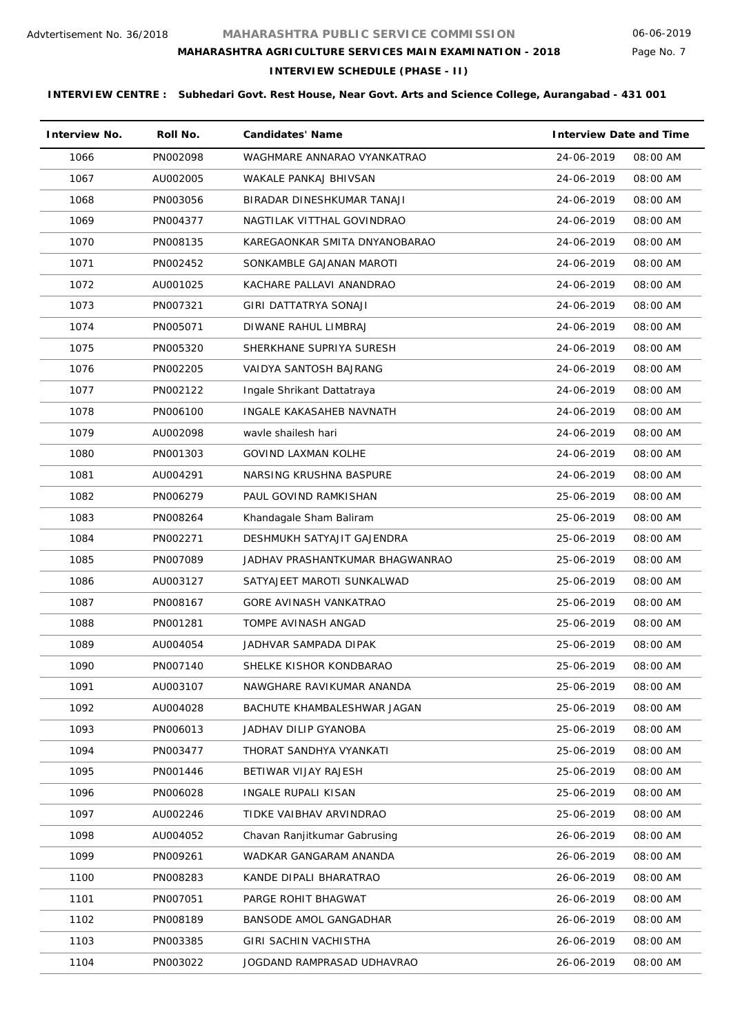### Page No. 7

### **INTERVIEW SCHEDULE (PHASE - II)**

| <b>Interview No.</b> | Roll No. | <b>Candidates' Name</b>         | <b>Interview Date and Time</b> |  |
|----------------------|----------|---------------------------------|--------------------------------|--|
| 1066                 | PN002098 | WAGHMARE ANNARAO VYANKATRAO     | 24-06-2019<br>08:00 AM         |  |
| 1067                 | AU002005 | WAKALE PANKAJ BHIVSAN           | 24-06-2019<br>08:00 AM         |  |
| 1068                 | PN003056 | BIRADAR DINESHKUMAR TANAJI      | 08:00 AM<br>24-06-2019         |  |
| 1069                 | PN004377 | NAGTILAK VITTHAL GOVINDRAO      | 24-06-2019<br>08:00 AM         |  |
| 1070                 | PN008135 | KAREGAONKAR SMITA DNYANOBARAO   | 08:00 AM<br>24-06-2019         |  |
| 1071                 | PN002452 | SONKAMBLE GAJANAN MAROTI        | 24-06-2019<br>08:00 AM         |  |
| 1072                 | AU001025 | KACHARE PALLAVI ANANDRAO        | 24-06-2019<br>08:00 AM         |  |
| 1073                 | PN007321 | GIRI DATTATRYA SONAJI           | 24-06-2019<br>08:00 AM         |  |
| 1074                 | PN005071 | DIWANE RAHUL LIMBRAJ            | 24-06-2019<br>08:00 AM         |  |
| 1075                 | PN005320 | SHERKHANE SUPRIYA SURESH        | 24-06-2019<br>08:00 AM         |  |
| 1076                 | PN002205 | VAIDYA SANTOSH BAJRANG          | 24-06-2019<br>08:00 AM         |  |
| 1077                 | PN002122 | Ingale Shrikant Dattatraya      | 24-06-2019<br>08:00 AM         |  |
| 1078                 | PN006100 | INGALE KAKASAHEB NAVNATH        | 08:00 AM<br>24-06-2019         |  |
| 1079                 | AU002098 | wayle shailesh hari             | 08:00 AM<br>24-06-2019         |  |
| 1080                 | PN001303 | <b>GOVIND LAXMAN KOLHE</b>      | 24-06-2019<br>08:00 AM         |  |
| 1081                 | AU004291 | NARSING KRUSHNA BASPURE         | 24-06-2019<br>08:00 AM         |  |
| 1082                 | PN006279 | PAUL GOVIND RAMKISHAN           | 25-06-2019<br>08:00 AM         |  |
| 1083                 | PN008264 | Khandagale Sham Baliram         | 25-06-2019<br>08:00 AM         |  |
| 1084                 | PN002271 | DESHMUKH SATYAJIT GAJENDRA      | 25-06-2019<br>08:00 AM         |  |
| 1085                 | PN007089 | JADHAV PRASHANTKUMAR BHAGWANRAO | 25-06-2019<br>08:00 AM         |  |
| 1086                 | AU003127 | SATYAJEET MAROTI SUNKALWAD      | 08:00 AM<br>25-06-2019         |  |
| 1087                 | PN008167 | <b>GORE AVINASH VANKATRAO</b>   | 25-06-2019<br>08:00 AM         |  |
| 1088                 | PN001281 | TOMPE AVINASH ANGAD             | 25-06-2019<br>08:00 AM         |  |
| 1089                 | AU004054 | JADHVAR SAMPADA DIPAK           | 25-06-2019<br>08:00 AM         |  |
| 1090                 | PN007140 | SHELKE KISHOR KONDBARAO         | 25-06-2019<br>08:00 AM         |  |
| 1091                 | AU003107 | NAWGHARE RAVIKUMAR ANANDA       | 08:00 AM<br>25-06-2019         |  |
| 1092                 | AU004028 | BACHUTE KHAMBALESHWAR JAGAN     | 25-06-2019<br>08:00 AM         |  |
| 1093                 | PN006013 | JADHAV DILIP GYANOBA            | 25-06-2019<br>08:00 AM         |  |
| 1094                 | PN003477 | THORAT SANDHYA VYANKATI         | 25-06-2019<br>08:00 AM         |  |
| 1095                 | PN001446 | BETIWAR VIJAY RAJESH            | 25-06-2019<br>08:00 AM         |  |
| 1096                 | PN006028 | INGALE RUPALI KISAN             | 25-06-2019<br>08:00 AM         |  |
| 1097                 | AU002246 | TIDKE VAIBHAV ARVINDRAO         | 25-06-2019<br>08:00 AM         |  |
| 1098                 | AU004052 | Chavan Ranjitkumar Gabrusing    | 26-06-2019<br>08:00 AM         |  |
| 1099                 | PN009261 | WADKAR GANGARAM ANANDA          | 26-06-2019<br>08:00 AM         |  |
| 1100                 | PN008283 | KANDE DIPALI BHARATRAO          | 26-06-2019<br>08:00 AM         |  |
| 1101                 | PN007051 | PARGE ROHIT BHAGWAT             | 26-06-2019<br>08:00 AM         |  |
| 1102                 | PN008189 | BANSODE AMOL GANGADHAR          | 26-06-2019<br>08:00 AM         |  |
| 1103                 | PN003385 | GIRI SACHIN VACHISTHA           | 08:00 AM<br>26-06-2019         |  |
| 1104                 | PN003022 | JOGDAND RAMPRASAD UDHAVRAO      | 26-06-2019<br>08:00 AM         |  |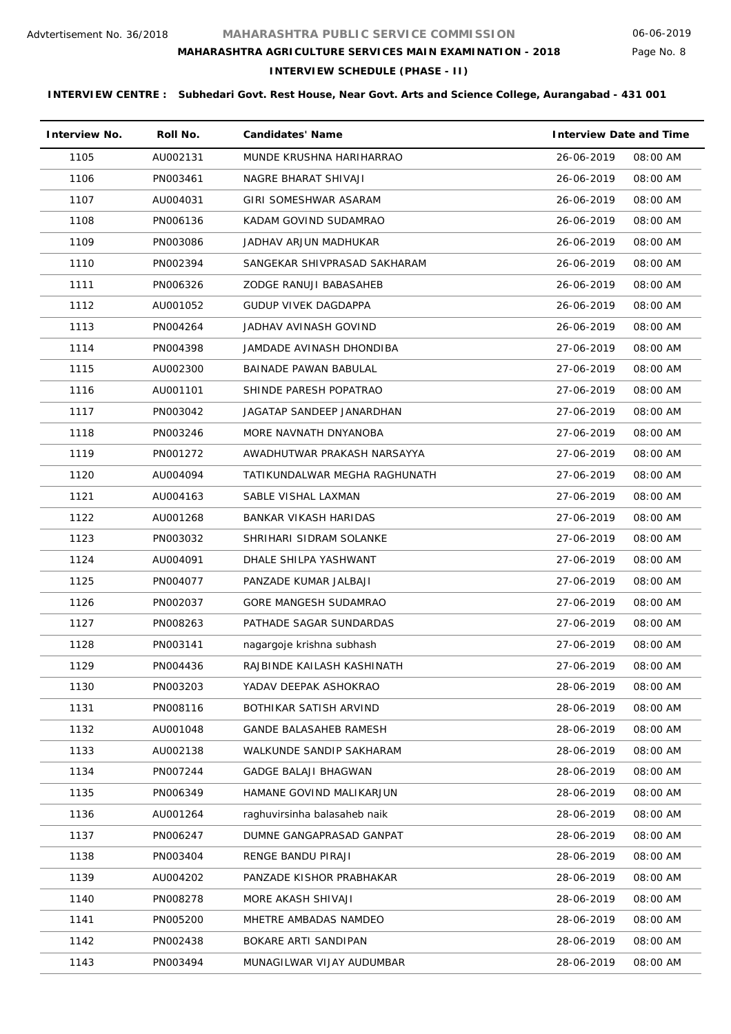Page No. 8

### **MAHARASHTRA AGRICULTURE SERVICES MAIN EXAMINATION - 2018**

**INTERVIEW SCHEDULE (PHASE - II)**

| <b>Interview No.</b> | Roll No. | <b>Candidates' Name</b>       | <b>Interview Date and Time</b> |
|----------------------|----------|-------------------------------|--------------------------------|
| 1105                 | AU002131 | MUNDE KRUSHNA HARIHARRAO      | 26-06-2019<br>08:00 AM         |
| 1106                 | PN003461 | NAGRE BHARAT SHIVAJI          | 26-06-2019<br>08:00 AM         |
| 1107                 | AU004031 | GIRI SOMESHWAR ASARAM         | 26-06-2019<br>08:00 AM         |
| 1108                 | PN006136 | KADAM GOVIND SUDAMRAO         | 08:00 AM<br>26-06-2019         |
| 1109                 | PN003086 | JADHAV ARJUN MADHUKAR         | 26-06-2019<br>08:00 AM         |
| 1110                 | PN002394 | SANGEKAR SHIVPRASAD SAKHARAM  | 26-06-2019<br>08:00 AM         |
| 1111                 | PN006326 | ZODGE RANUJI BABASAHEB        | 26-06-2019<br>08:00 AM         |
| 1112                 | AU001052 | GUDUP VIVEK DAGDAPPA          | 26-06-2019<br>08:00 AM         |
| 1113                 | PN004264 | JADHAV AVINASH GOVIND         | 26-06-2019<br>08:00 AM         |
| 1114                 | PN004398 | JAMDADE AVINASH DHONDIBA      | 27-06-2019<br>08:00 AM         |
| 1115                 | AU002300 | BAINADE PAWAN BABULAL         | 27-06-2019<br>08:00 AM         |
| 1116                 | AU001101 | SHINDE PARESH POPATRAO        | 27-06-2019<br>08:00 AM         |
| 1117                 | PN003042 | JAGATAP SANDEEP JANARDHAN     | 27-06-2019<br>08:00 AM         |
| 1118                 | PN003246 | MORE NAVNATH DNYANOBA         | 27-06-2019<br>08:00 AM         |
| 1119                 | PN001272 | AWADHUTWAR PRAKASH NARSAYYA   | 27-06-2019<br>08:00 AM         |
| 1120                 | AU004094 | TATIKUNDALWAR MEGHA RAGHUNATH | 27-06-2019<br>08:00 AM         |
| 1121                 | AU004163 | SABLE VISHAL LAXMAN           | 27-06-2019<br>08:00 AM         |
| 1122                 | AU001268 | BANKAR VIKASH HARIDAS         | 27-06-2019<br>08:00 AM         |
| 1123                 | PN003032 | SHRIHARI SIDRAM SOLANKE       | 27-06-2019<br>08:00 AM         |
| 1124                 | AU004091 | DHALE SHILPA YASHWANT         | 08:00 AM<br>27-06-2019         |
| 1125                 | PN004077 | PANZADE KUMAR JALBAJI         | 27-06-2019<br>08:00 AM         |
| 1126                 | PN002037 | GORE MANGESH SUDAMRAO         | 27-06-2019<br>08:00 AM         |
| 1127                 | PN008263 | PATHADE SAGAR SUNDARDAS       | 27-06-2019<br>08:00 AM         |
| 1128                 | PN003141 | nagargoje krishna subhash     | 27-06-2019<br>08:00 AM         |
| 1129                 | PN004436 | RAJBINDE KAILASH KASHINATH    | 27-06-2019<br>08:00 AM         |
| 1130                 | PN003203 | YADAV DEEPAK ASHOKRAO         | 28-06-2019<br>08:00 AM         |
| 1131                 | PN008116 | BOTHIKAR SATISH ARVIND        | 28-06-2019<br>08:00 AM         |
| 1132                 | AU001048 | GANDE BALASAHEB RAMESH        | 28-06-2019<br>08:00 AM         |
| 1133                 | AU002138 | WALKUNDE SANDIP SAKHARAM      | 28-06-2019<br>08:00 AM         |
| 1134                 | PN007244 | <b>GADGE BALAJI BHAGWAN</b>   | 28-06-2019<br>08:00 AM         |
| 1135                 | PN006349 | HAMANE GOVIND MALIKARJUN      | 28-06-2019<br>08:00 AM         |
| 1136                 | AU001264 | raghuvirsinha balasaheb naik  | 28-06-2019<br>08:00 AM         |
| 1137                 | PN006247 | DUMNE GANGAPRASAD GANPAT      | 28-06-2019<br>08:00 AM         |
| 1138                 | PN003404 | RENGE BANDU PIRAJI            | 28-06-2019<br>08:00 AM         |
| 1139                 | AU004202 | PANZADE KISHOR PRABHAKAR      | 28-06-2019<br>08:00 AM         |
| 1140                 | PN008278 | MORE AKASH SHIVAJI            | 08:00 AM<br>28-06-2019         |
| 1141                 | PN005200 | MHETRE AMBADAS NAMDEO         | 28-06-2019<br>08:00 AM         |
| 1142                 | PN002438 | BOKARE ARTI SANDIPAN          | 28-06-2019<br>08:00 AM         |
| 1143                 | PN003494 | MUNAGILWAR VIJAY AUDUMBAR     | 28-06-2019<br>08:00 AM         |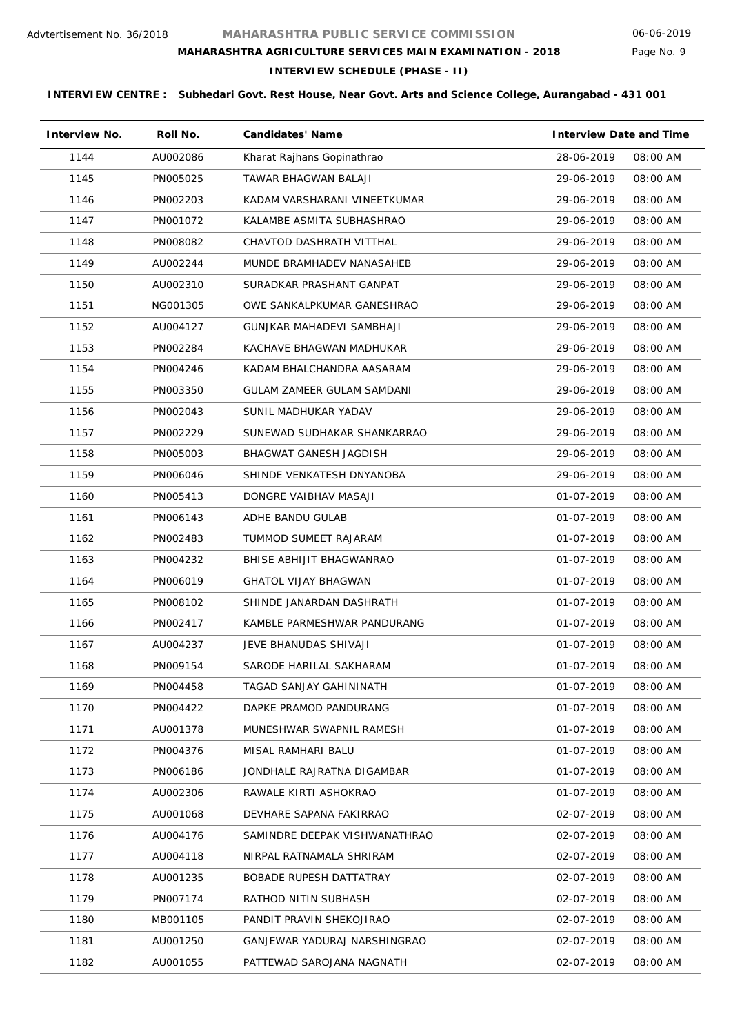Page No. 9

# **MAHARASHTRA AGRICULTURE SERVICES MAIN EXAMINATION - 2018**

**INTERVIEW SCHEDULE (PHASE - II)**

| <b>Interview No.</b> | Roll No. | <b>Candidates' Name</b>       | <b>Interview Date and Time</b> |
|----------------------|----------|-------------------------------|--------------------------------|
| 1144                 | AU002086 | Kharat Rajhans Gopinathrao    | 28-06-2019<br>08:00 AM         |
| 1145                 | PN005025 | TAWAR BHAGWAN BALAJI          | 29-06-2019<br>08:00 AM         |
| 1146                 | PN002203 | KADAM VARSHARANI VINEETKUMAR  | 29-06-2019<br>08:00 AM         |
| 1147                 | PN001072 | KALAMBE ASMITA SUBHASHRAO     | 08:00 AM<br>29-06-2019         |
| 1148                 | PN008082 | CHAVTOD DASHRATH VITTHAL      | 08:00 AM<br>29-06-2019         |
| 1149                 | AU002244 | MUNDE BRAMHADEV NANASAHEB     | 08:00 AM<br>29-06-2019         |
| 1150                 | AU002310 | SURADKAR PRASHANT GANPAT      | 29-06-2019<br>08:00 AM         |
| 1151                 | NG001305 | OWE SANKALPKUMAR GANESHRAO    | 29-06-2019<br>08:00 AM         |
| 1152                 | AU004127 | GUNJKAR MAHADEVI SAMBHAJI     | 29-06-2019<br>08:00 AM         |
| 1153                 | PN002284 | KACHAVE BHAGWAN MADHUKAR      | 29-06-2019<br>08:00 AM         |
| 1154                 | PN004246 | KADAM BHALCHANDRA AASARAM     | 29-06-2019<br>08:00 AM         |
| 1155                 | PN003350 | GULAM ZAMEER GULAM SAMDANI    | 29-06-2019<br>08:00 AM         |
| 1156                 | PN002043 | SUNIL MADHUKAR YADAV          | 08:00 AM<br>29-06-2019         |
| 1157                 | PN002229 | SUNEWAD SUDHAKAR SHANKARRAO   | 29-06-2019<br>08:00 AM         |
| 1158                 | PN005003 | <b>BHAGWAT GANESH JAGDISH</b> | 29-06-2019<br>08:00 AM         |
| 1159                 | PN006046 | SHINDE VENKATESH DNYANOBA     | 29-06-2019<br>08:00 AM         |
| 1160                 | PN005413 | DONGRE VAIBHAV MASAJI         | 01-07-2019<br>08:00 AM         |
| 1161                 | PN006143 | ADHE BANDU GULAB              | 01-07-2019<br>08:00 AM         |
| 1162                 | PN002483 | TUMMOD SUMEET RAJARAM         | 01-07-2019<br>08:00 AM         |
| 1163                 | PN004232 | BHISE ABHIJIT BHAGWANRAO      | 01-07-2019<br>08:00 AM         |
| 1164                 | PN006019 | <b>GHATOL VIJAY BHAGWAN</b>   | 01-07-2019<br>08:00 AM         |
| 1165                 | PN008102 | SHINDE JANARDAN DASHRATH      | 01-07-2019<br>08:00 AM         |
| 1166                 | PN002417 | KAMBLE PARMESHWAR PANDURANG   | 01-07-2019<br>08:00 AM         |
| 1167                 | AU004237 | JEVE BHANUDAS SHIVAJI         | 01-07-2019<br>08:00 AM         |
| 1168                 | PN009154 | SARODE HARILAL SAKHARAM       | 01-07-2019<br>08:00 AM         |
| 1169                 | PN004458 | TAGAD SANJAY GAHININATH       | 01-07-2019<br>08:00 AM         |
| 1170                 | PN004422 | DAPKE PRAMOD PANDURANG        | 01-07-2019<br>08:00 AM         |
| 1171                 | AU001378 | MUNESHWAR SWAPNIL RAMESH      | 01-07-2019<br>08:00 AM         |
| 1172                 | PN004376 | MISAL RAMHARI BALU            | 01-07-2019<br>08:00 AM         |
| 1173                 | PN006186 | JONDHALE RAJRATNA DIGAMBAR    | 01-07-2019<br>08:00 AM         |
| 1174                 | AU002306 | RAWALE KIRTI ASHOKRAO         | 01-07-2019<br>08:00 AM         |
| 1175                 | AU001068 | DEVHARE SAPANA FAKIRRAO       | 02-07-2019<br>08:00 AM         |
| 1176                 | AU004176 | SAMINDRE DEEPAK VISHWANATHRAO | 02-07-2019<br>08:00 AM         |
| 1177                 | AU004118 | NIRPAL RATNAMALA SHRIRAM      | 02-07-2019<br>08:00 AM         |
| 1178                 | AU001235 | BOBADE RUPESH DATTATRAY       | 02-07-2019<br>08:00 AM         |
| 1179                 | PN007174 | RATHOD NITIN SUBHASH          | 02-07-2019<br>08:00 AM         |
| 1180                 | MB001105 | PANDIT PRAVIN SHEKOJIRAO      | 02-07-2019<br>08:00 AM         |
| 1181                 | AU001250 | GANJEWAR YADURAJ NARSHINGRAO  | 02-07-2019<br>08:00 AM         |
| 1182                 | AU001055 | PATTEWAD SAROJANA NAGNATH     | 02-07-2019<br>08:00 AM         |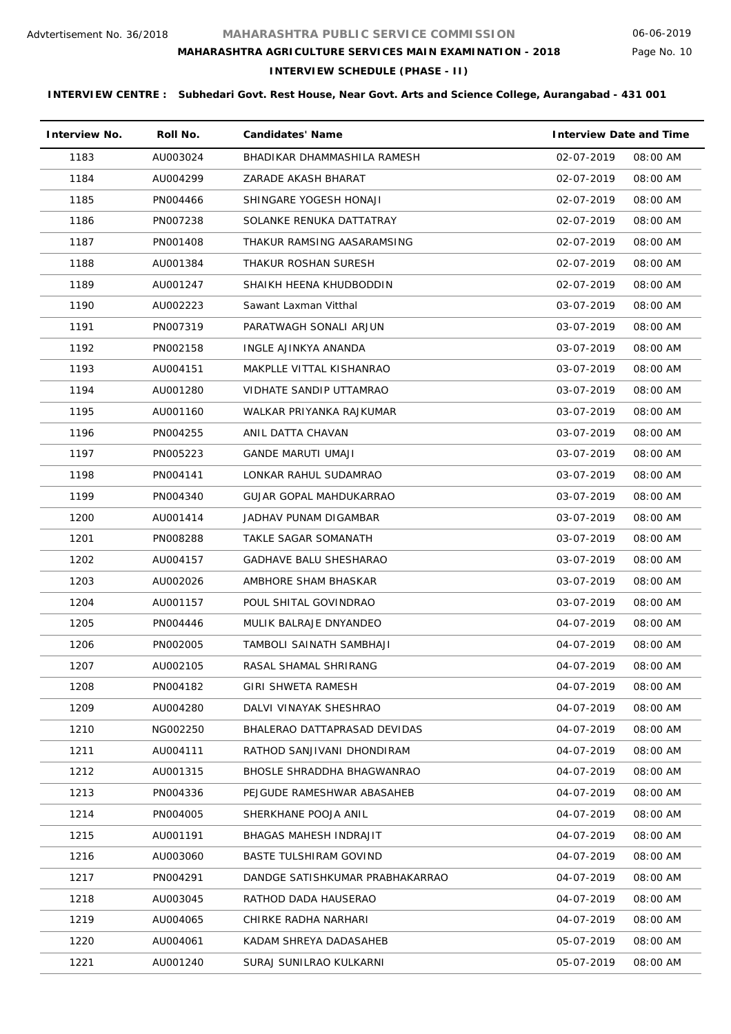### Page No. 10

### **MAHARASHTRA AGRICULTURE SERVICES MAIN EXAMINATION - 2018**

**INTERVIEW SCHEDULE (PHASE - II)**

| <b>Interview No.</b> | Roll No. | <b>Candidates' Name</b>         | <b>Interview Date and Time</b> |
|----------------------|----------|---------------------------------|--------------------------------|
| 1183                 | AU003024 | BHADIKAR DHAMMASHILA RAMESH     | 02-07-2019<br>08:00 AM         |
| 1184                 | AU004299 | ZARADE AKASH BHARAT             | 02-07-2019<br>08:00 AM         |
| 1185                 | PN004466 | SHINGARE YOGESH HONAJI          | 02-07-2019<br>08:00 AM         |
| 1186                 | PN007238 | SOLANKE RENUKA DATTATRAY        | 02-07-2019<br>08:00 AM         |
| 1187                 | PN001408 | THAKUR RAMSING AASARAMSING      | 02-07-2019<br>08:00 AM         |
| 1188                 | AU001384 | THAKUR ROSHAN SURESH            | 02-07-2019<br>08:00 AM         |
| 1189                 | AU001247 | SHAIKH HEENA KHUDBODDIN         | 02-07-2019<br>08:00 AM         |
| 1190                 | AU002223 | Sawant Laxman Vitthal           | 03-07-2019<br>08:00 AM         |
| 1191                 | PN007319 | PARATWAGH SONALI ARJUN          | 03-07-2019<br>08:00 AM         |
| 1192                 | PN002158 | INGLE AJINKYA ANANDA            | 03-07-2019<br>08:00 AM         |
| 1193                 | AU004151 | MAKPLLE VITTAL KISHANRAO        | 03-07-2019<br>08:00 AM         |
| 1194                 | AU001280 | VIDHATE SANDIP UTTAMRAO         | 03-07-2019<br>08:00 AM         |
| 1195                 | AU001160 | WALKAR PRIYANKA RAJKUMAR        | 03-07-2019<br>08:00 AM         |
| 1196                 | PN004255 | ANIL DATTA CHAVAN               | 03-07-2019<br>08:00 AM         |
| 1197                 | PN005223 | <b>GANDE MARUTI UMAJI</b>       | 03-07-2019<br>08:00 AM         |
| 1198                 | PN004141 | LONKAR RAHUL SUDAMRAO           | 03-07-2019<br>08:00 AM         |
| 1199                 | PN004340 | GUJAR GOPAL MAHDUKARRAO         | 03-07-2019<br>08:00 AM         |
| 1200                 | AU001414 | JADHAV PUNAM DIGAMBAR           | 08:00 AM<br>03-07-2019         |
| 1201                 | PN008288 | TAKLE SAGAR SOMANATH            | 03-07-2019<br>08:00 AM         |
| 1202                 | AU004157 | <b>GADHAVE BALU SHESHARAO</b>   | 08:00 AM<br>03-07-2019         |
| 1203                 | AU002026 | AMBHORE SHAM BHASKAR            | 03-07-2019<br>08:00 AM         |
| 1204                 | AU001157 | POUL SHITAL GOVINDRAO           | 03-07-2019<br>08:00 AM         |
| 1205                 | PN004446 | MULIK BALRAJE DNYANDEO          | 04-07-2019<br>08:00 AM         |
| 1206                 | PN002005 | TAMBOLI SAINATH SAMBHAJI        | 04-07-2019<br>08:00 AM         |
| 1207                 | AU002105 | RASAL SHAMAL SHRIRANG           | 04-07-2019<br>08:00 AM         |
| 1208                 | PN004182 | GIRI SHWETA RAMESH              | 04-07-2019<br>08:00 AM         |
| 1209                 | AU004280 | DALVI VINAYAK SHESHRAO          | 04-07-2019<br>08:00 AM         |
| 1210                 | NG002250 | BHALERAO DATTAPRASAD DEVIDAS    | 04-07-2019<br>08:00 AM         |
| 1211                 | AU004111 | RATHOD SANJIVANI DHONDIRAM      | 04-07-2019<br>08:00 AM         |
| 1212                 | AU001315 | BHOSLE SHRADDHA BHAGWANRAO      | 04-07-2019<br>08:00 AM         |
| 1213                 | PN004336 | PEJGUDE RAMESHWAR ABASAHEB      | 04-07-2019<br>08:00 AM         |
| 1214                 | PN004005 | SHERKHANE POOJA ANIL            | 04-07-2019<br>08:00 AM         |
| 1215                 | AU001191 | BHAGAS MAHESH INDRAJIT          | 04-07-2019<br>08:00 AM         |
| 1216                 | AU003060 | <b>BASTE TULSHIRAM GOVIND</b>   | 04-07-2019<br>08:00 AM         |
| 1217                 | PN004291 | DANDGE SATISHKUMAR PRABHAKARRAO | 04-07-2019<br>08:00 AM         |
| 1218                 | AU003045 | RATHOD DADA HAUSERAO            | 04-07-2019<br>08:00 AM         |
| 1219                 | AU004065 | CHIRKE RADHA NARHARI            | 04-07-2019<br>08:00 AM         |
| 1220                 | AU004061 | KADAM SHREYA DADASAHEB          | 05-07-2019<br>08:00 AM         |
| 1221                 | AU001240 | SURAJ SUNILRAO KULKARNI         | 05-07-2019<br>08:00 AM         |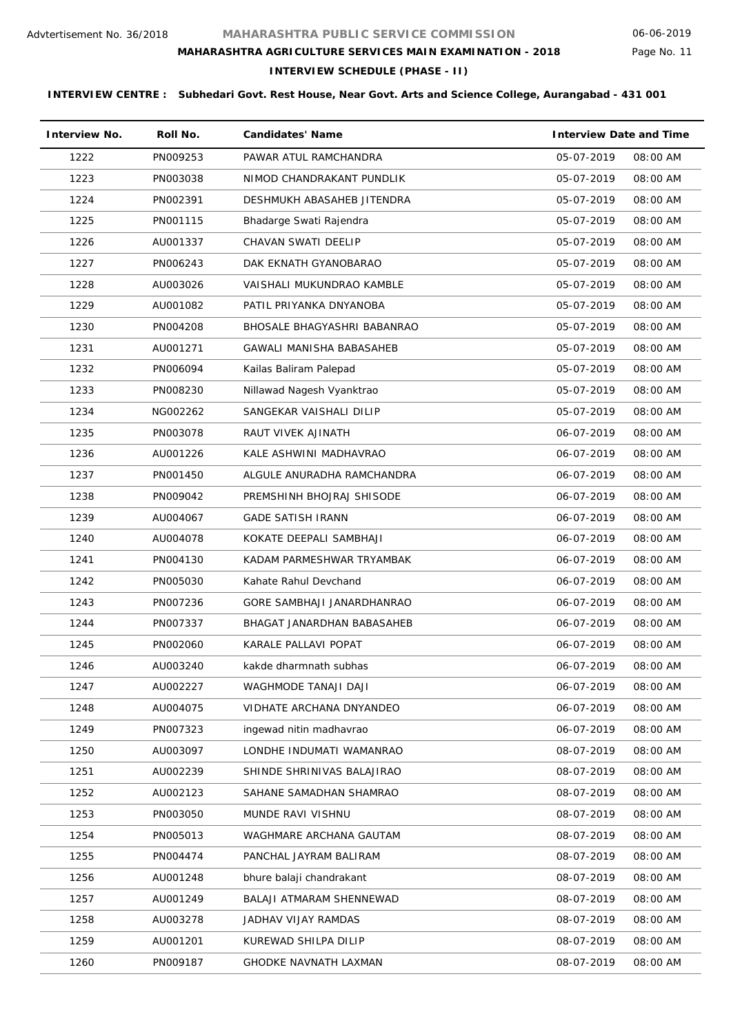Page No. 11

### **MAHARASHTRA AGRICULTURE SERVICES MAIN EXAMINATION - 2018**

# **INTERVIEW SCHEDULE (PHASE - II)**

| <b>Interview No.</b> | Roll No. | <b>Candidates' Name</b>      | <b>Interview Date and Time</b> |
|----------------------|----------|------------------------------|--------------------------------|
| 1222                 | PN009253 | PAWAR ATUL RAMCHANDRA        | 05-07-2019<br>08:00 AM         |
| 1223                 | PN003038 | NIMOD CHANDRAKANT PUNDLIK    | 05-07-2019<br>08:00 AM         |
| 1224                 | PN002391 | DESHMUKH ABASAHEB JITENDRA   | 05-07-2019<br>08:00 AM         |
| 1225                 | PN001115 | Bhadarge Swati Rajendra      | 05-07-2019<br>08:00 AM         |
| 1226                 | AU001337 | CHAVAN SWATI DEELIP          | 05-07-2019<br>08:00 AM         |
| 1227                 | PN006243 | DAK EKNATH GYANOBARAO        | 05-07-2019<br>08:00 AM         |
| 1228                 | AU003026 | VAISHALI MUKUNDRAO KAMBLE    | 05-07-2019<br>08:00 AM         |
| 1229                 | AU001082 | PATIL PRIYANKA DNYANOBA      | 05-07-2019<br>08:00 AM         |
| 1230                 | PN004208 | BHOSALE BHAGYASHRI BABANRAO  | 05-07-2019<br>08:00 AM         |
| 1231                 | AU001271 | GAWALI MANISHA BABASAHEB     | 05-07-2019<br>08:00 AM         |
| 1232                 | PN006094 | Kailas Baliram Palepad       | 05-07-2019<br>08:00 AM         |
| 1233                 | PN008230 | Nillawad Nagesh Vyanktrao    | 05-07-2019<br>08:00 AM         |
| 1234                 | NG002262 | SANGEKAR VAISHALI DILIP      | 05-07-2019<br>08:00 AM         |
| 1235                 | PN003078 | RAUT VIVEK AJINATH           | 06-07-2019<br>08:00 AM         |
| 1236                 | AU001226 | KALE ASHWINI MADHAVRAO       | 06-07-2019<br>08:00 AM         |
| 1237                 | PN001450 | ALGULE ANURADHA RAMCHANDRA   | 06-07-2019<br>08:00 AM         |
| 1238                 | PN009042 | PREMSHINH BHOJRAJ SHISODE    | 06-07-2019<br>08:00 AM         |
| 1239                 | AU004067 | <b>GADE SATISH IRANN</b>     | 06-07-2019<br>08:00 AM         |
| 1240                 | AU004078 | KOKATE DEEPALI SAMBHAJI      | 06-07-2019<br>08:00 AM         |
| 1241                 | PN004130 | KADAM PARMESHWAR TRYAMBAK    | 06-07-2019<br>08:00 AM         |
| 1242                 | PN005030 | Kahate Rahul Devchand        | 06-07-2019<br>08:00 AM         |
| 1243                 | PN007236 | GORE SAMBHAJI JANARDHANRAO   | 06-07-2019<br>08:00 AM         |
| 1244                 | PN007337 | BHAGAT JANARDHAN BABASAHEB   | 06-07-2019<br>08:00 AM         |
| 1245                 | PN002060 | KARALE PALLAVI POPAT         | 06-07-2019<br>08:00 AM         |
| 1246                 | AU003240 | kakde dharmnath subhas       | 06-07-2019<br>08:00 AM         |
| 1247                 | AU002227 | WAGHMODE TANAJI DAJI         | 06-07-2019<br>08:00 AM         |
| 1248                 | AU004075 | VIDHATE ARCHANA DNYANDEO     | 06-07-2019<br>08:00 AM         |
| 1249                 | PN007323 | ingewad nitin madhavrao      | 08:00 AM<br>06-07-2019         |
| 1250                 | AU003097 | LONDHE INDUMATI WAMANRAO     | 08-07-2019<br>08:00 AM         |
| 1251                 | AU002239 | SHINDE SHRINIVAS BALAJIRAO   | 08-07-2019<br>08:00 AM         |
| 1252                 | AU002123 | SAHANE SAMADHAN SHAMRAO      | 08-07-2019<br>08:00 AM         |
| 1253                 | PN003050 | MUNDE RAVI VISHNU            | 08-07-2019<br>08:00 AM         |
| 1254                 | PN005013 | WAGHMARE ARCHANA GAUTAM      | 08-07-2019<br>08:00 AM         |
| 1255                 | PN004474 | PANCHAL JAYRAM BALIRAM       | 08-07-2019<br>08:00 AM         |
| 1256                 | AU001248 | bhure balaji chandrakant     | 08-07-2019<br>08:00 AM         |
| 1257                 | AU001249 | BALAJI ATMARAM SHENNEWAD     | 08-07-2019<br>08:00 AM         |
| 1258                 | AU003278 | JADHAV VIJAY RAMDAS          | 08-07-2019<br>08:00 AM         |
| 1259                 | AU001201 | KUREWAD SHILPA DILIP         | 08-07-2019<br>08:00 AM         |
| 1260                 | PN009187 | <b>GHODKE NAVNATH LAXMAN</b> | 08-07-2019<br>08:00 AM         |